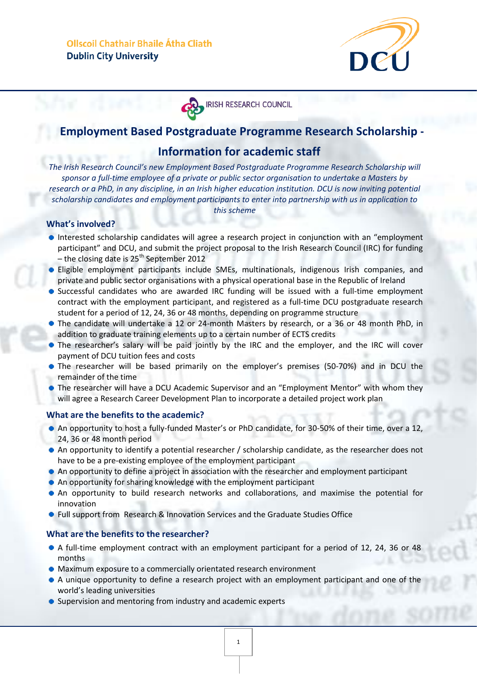

# **IRISH RESEARCH COUNCIL**

## **Employment Based Postgraduate Programme Research Scholarship -**

## **Information for academic staff**

*The Irish Research Council's new Employment Based Postgraduate Programme Research Scholarship will sponsor a full-time employee of a private or public sector organisation to undertake a Masters by research or a PhD, in any discipline, in an Irish higher education institution. DCU is now inviting potential scholarship candidates and employment participants to enter into partnership with us in application to this scheme*

### **What's involved?**

- Interested scholarship candidates will agree a research project in conjunction with an "employment" participant" and DCU, and submit the project proposal to the Irish Research Council (IRC) for funding – the closing date is  $25<sup>th</sup>$  September 2012
- **•** Eligible employment participants include SMEs, multinationals, indigenous Irish companies, and private and public sector organisations with a physical operational base in the Republic of Ireland
- **Successful candidates who are awarded IRC funding will be issued with a full-time employment** contract with the employment participant, and registered as a full-time DCU postgraduate research student for a period of 12, 24, 36 or 48 months, depending on programme structure
- The candidate will undertake a 12 or 24-month Masters by research, or a 36 or 48 month PhD, in addition to graduate training elements up to a certain number of ECTS credits
- The researcher's salary will be paid jointly by the IRC and the employer, and the IRC will cover payment of DCU tuition fees and costs
- The researcher will be based primarily on the employer's premises (50-70%) and in DCU the remainder of the time
- The researcher will have a DCU Academic Supervisor and an "Employment Mentor" with whom they will agree a Research Career Development Plan to incorporate a detailed project work plan

#### **What are the benefits to the academic?**

- An opportunity to host a fully-funded Master's or PhD candidate, for 30-50% of their time, over a 12, 24, 36 or 48 month period
- An opportunity to identify a potential researcher / scholarship candidate, as the researcher does not have to be a pre-existing employee of the employment participant
- An opportunity to define a project in association with the researcher and employment participant
- An opportunity for sharing knowledge with the employment participant
- An opportunity to build research networks and collaborations, and maximise the potential for innovation
- Full support from Research & Innovation Services and the Graduate Studies Office

#### **What are the benefits to the researcher?**

- A full-time employment contract with an employment participant for a period of 12, 24, 36 or 48 months
- $\bullet$  Maximum exposure to a commercially orientated research environment
- A unique opportunity to define a research project with an employment participant and one of the world's leading universities
- Supervision and mentoring from industry and academic experts